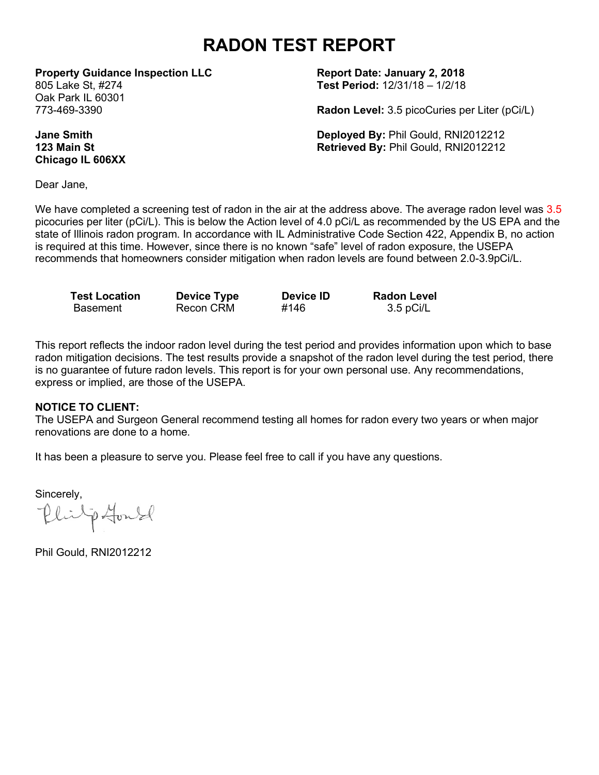# **RADON TEST REPORT**

**Property Guidance Inspection LLC Report Date: January 2, 2018**

Oak Park IL 60301

**Chicago IL 606XX**

805 Lake St, #274 **Test Period:** 12/31/18 – 1/2/18

773-469-3390 **Radon Level:** 3.5 picoCuries per Liter (pCi/L)

**Jane Smith Deployed By:** Phil Gould, RNI2012212 **123 Main St Retrieved By: Phil Gould, RNI2012212** 

Dear Jane,

We have completed a screening test of radon in the air at the address above. The average radon level was 3.5 picocuries per liter (pCi/L). This is below the Action level of 4.0 pCi/L as recommended by the US EPA and the state of Illinois radon program. In accordance with IL Administrative Code Section 422, Appendix B, no action is required at this time. However, since there is no known "safe" level of radon exposure, the USEPA recommends that homeowners consider mitigation when radon levels are found between 2.0-3.9pCi/L.

| <b>Test Location</b> | <b>Device Type</b> | Device <b>ID</b> | <b>Radon Level</b> |
|----------------------|--------------------|------------------|--------------------|
| <b>Basement</b>      | Recon CRM          | #146             | 3.5 pCi/L          |

This report reflects the indoor radon level during the test period and provides information upon which to base radon mitigation decisions. The test results provide a snapshot of the radon level during the test period, there is no guarantee of future radon levels. This report is for your own personal use. Any recommendations, express or implied, are those of the USEPA.

#### **NOTICE TO CLIENT:**

The USEPA and Surgeon General recommend testing all homes for radon every two years or when major renovations are done to a home.

It has been a pleasure to serve you. Please feel free to call if you have any questions.

Sincerely,

ilp House

Phil Gould, RNI2012212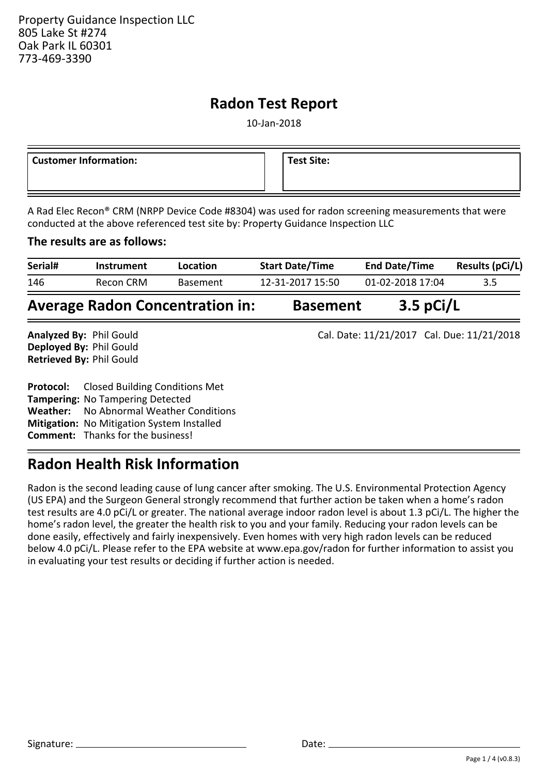## **Radon Test Report**

10-Jan-2018

| <sup>'</sup> Customer Information: | <b>Test Site:</b> |
|------------------------------------|-------------------|
|                                    |                   |

A Rad Elec Recon® CRM (NRPP Device Code #8304) was used for radon screening measurements that were conducted at the above referenced test site by: Property Guidance Inspection LLC

#### **The results are as follows:**

| Serial# | Instrument | Location        | <b>Start Date/Time</b> | <b>End Date/Time</b> | Results (pCi/L) |
|---------|------------|-----------------|------------------------|----------------------|-----------------|
| 146     | Recon CRM  | <b>Basement</b> | 12-31-2017 15:50       | 01-02-2018 17:04     |                 |

# **Average Radon Concentration in: Basement 3.5 pCi/L**

Deployed By: Phil Gould Retrieved By: Phil Gould Analyzed By: Phil Gould **Analyzed By:** Cal. Date: 11/21/2017 Cal. Due: 11/21/2018

**Protocol:**  Closed Building Conditions Met **Tampering:**  No Tampering Detected **Weather:**  No Abnormal Weather Conditions **Mitigation:** No Mitigation System Installed **Comment:**  Thanks for the business!

## **Radon Health Risk Information**

Radon is the second leading cause of lung cancer after smoking. The U.S. Environmental Protection Agency (US EPA) and the Surgeon General strongly recommend that further action be taken when a home's radon test results are 4.0 pCi/L or greater. The national average indoor radon level is about 1.3 pCi/L. The higher the home's radon level, the greater the health risk to you and your family. Reducing your radon levels can be done easily, effectively and fairly inexpensively. Even homes with very high radon levels can be reduced below 4.0 pCi/L. Please refer to the EPA website at www.epa.gov/radon for further information to assist you in evaluating your test results or deciding if further action is needed.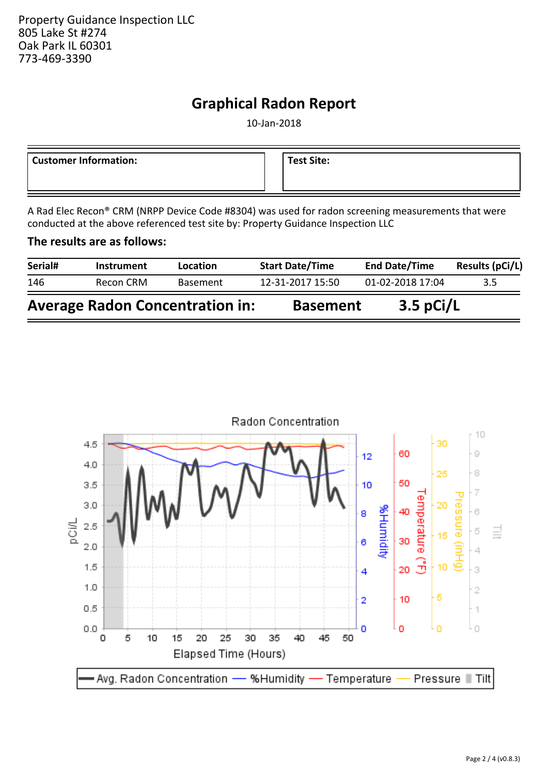## **Graphical Radon Report**

10-Jan-2018

| Customer Information: | <b>Test Site:</b> |
|-----------------------|-------------------|
|                       |                   |
|                       |                   |
|                       |                   |
|                       |                   |

A Rad Elec Recon® CRM (NRPP Device Code #8304) was used for radon screening measurements that were conducted at the above referenced test site by: Property Guidance Inspection LLC

#### **The results are as follows:**

| Serial# | <b>Instrument</b> | Location                               | <b>Start Date/Time</b> | <b>End Date/Time</b> | <b>Results (pCi/L)</b> |
|---------|-------------------|----------------------------------------|------------------------|----------------------|------------------------|
| 146     | Recon CRM         | <b>Basement</b>                        | 12-31-2017 15:50       | 01-02-2018 17:04     | 3.5                    |
|         |                   | <b>Average Radon Concentration in:</b> | <b>Basement</b>        | $3.5$ pCi/L          |                        |

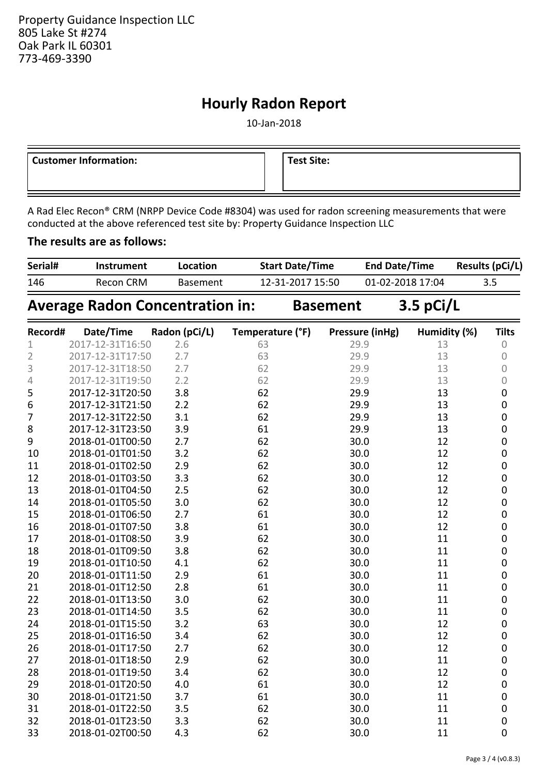## **Hourly Radon Report**

10-Jan-2018

| <b>Customer Information:</b> | <b>Test Site:</b> |
|------------------------------|-------------------|
|                              |                   |
|                              |                   |

A Rad Elec Recon® CRM (NRPP Device Code #8304) was used for radon screening measurements that were conducted at the above referenced test site by: Property Guidance Inspection LLC

### **The results are as follows:**

| Serial# | Instrument | Location        | <b>Start Date/Time</b> | <b>End Date/Time</b> | <b>Results (pCi/L)</b> |
|---------|------------|-----------------|------------------------|----------------------|------------------------|
| 146     | Recon CRM  | <b>Basement</b> | 12-31-2017 15:50       | 01-02-2018 17:04     |                        |

**Average Radon Concentration in: Basement 3.5 pCi/L**

| Record#        | Date/Time        | Radon (pCi/L) | Temperature (°F) | Pressure (inHg) | Humidity (%) | <b>Tilts</b> |
|----------------|------------------|---------------|------------------|-----------------|--------------|--------------|
| 1              | 2017-12-31T16:50 | 2.6           | 63               | 29.9            | 13           | $\mathbf 0$  |
| $\overline{2}$ | 2017-12-31T17:50 | 2.7           | 63               | 29.9            | 13           | $\sqrt{a}$   |
| 3              | 2017-12-31T18:50 | 2.7           | 62               | 29.9            | 13           | 0            |
| 4              | 2017-12-31T19:50 | 2.2           | 62               | 29.9            | 13           | 0            |
| 5              | 2017-12-31T20:50 | 3.8           | 62               | 29.9            | 13           | 0            |
| 6              | 2017-12-31T21:50 | 2.2           | 62               | 29.9            | 13           | 0            |
| 7              | 2017-12-31T22:50 | 3.1           | 62               | 29.9            | 13           | 0            |
| 8              | 2017-12-31T23:50 | 3.9           | 61               | 29.9            | 13           | 0            |
| 9              | 2018-01-01T00:50 | 2.7           | 62               | 30.0            | 12           | 0            |
| 10             | 2018-01-01T01:50 | 3.2           | 62               | 30.0            | 12           | 0            |
| 11             | 2018-01-01T02:50 | 2.9           | 62               | 30.0            | 12           | $\mathbf{0}$ |
| 12             | 2018-01-01T03:50 | 3.3           | 62               | 30.0            | 12           | 0            |
| 13             | 2018-01-01T04:50 | 2.5           | 62               | 30.0            | 12           | 0            |
| 14             | 2018-01-01T05:50 | 3.0           | 62               | 30.0            | 12           | 0            |
| 15             | 2018-01-01T06:50 | 2.7           | 61               | 30.0            | 12           | 0            |
| 16             | 2018-01-01T07:50 | 3.8           | 61               | 30.0            | 12           | 0            |
| 17             | 2018-01-01T08:50 | 3.9           | 62               | 30.0            | 11           | 0            |
| 18             | 2018-01-01T09:50 | 3.8           | 62               | 30.0            | 11           | 0            |
| 19             | 2018-01-01T10:50 | 4.1           | 62               | 30.0            | 11           | 0            |
| 20             | 2018-01-01T11:50 | 2.9           | 61               | 30.0            | 11           | 0            |
| 21             | 2018-01-01T12:50 | 2.8           | 61               | 30.0            | 11           | 0            |
| 22             | 2018-01-01T13:50 | 3.0           | 62               | 30.0            | 11           | $\mathbf{0}$ |
| 23             | 2018-01-01T14:50 | 3.5           | 62               | 30.0            | 11           | 0            |
| 24             | 2018-01-01T15:50 | 3.2           | 63               | 30.0            | 12           | 0            |
| 25             | 2018-01-01T16:50 | 3.4           | 62               | 30.0            | 12           | 0            |
| 26             | 2018-01-01T17:50 | 2.7           | 62               | 30.0            | 12           | 0            |
| 27             | 2018-01-01T18:50 | 2.9           | 62               | 30.0            | 11           | 0            |
| 28             | 2018-01-01T19:50 | 3.4           | 62               | 30.0            | 12           | 0            |
| 29             | 2018-01-01T20:50 | 4.0           | 61               | 30.0            | 12           | 0            |
| 30             | 2018-01-01T21:50 | 3.7           | 61               | 30.0            | 11           | 0            |
| 31             | 2018-01-01T22:50 | 3.5           | 62               | 30.0            | 11           | 0            |
| 32             | 2018-01-01T23:50 | 3.3           | 62               | 30.0            | 11           | 0            |
| 33             | 2018-01-02T00:50 | 4.3           | 62               | 30.0            | 11           | 0            |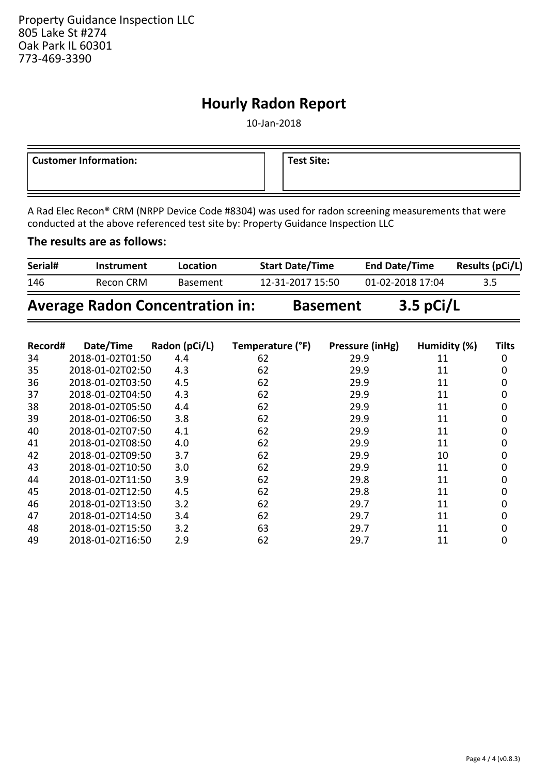## **Hourly Radon Report**

10-Jan-2018

| <sup>'</sup> Customer Information: | <b>Test Site:</b> |
|------------------------------------|-------------------|
|                                    |                   |
|                                    |                   |

A Rad Elec Recon® CRM (NRPP Device Code #8304) was used for radon screening measurements that were conducted at the above referenced test site by: Property Guidance Inspection LLC

### **The results are as follows:**

| Serial# | Instrument | Location        | <b>Start Date/Time</b> | <b>End Date/Time</b> | Results (pCi/L) |
|---------|------------|-----------------|------------------------|----------------------|-----------------|
| 146     | Recon CRM  | <b>Basement</b> | 12-31-2017 15:50       | 01-02-2018 17:04     |                 |

| <b>Average Radon Concentration in:</b> | <b>Basement</b> | $3.5$ pCi/L |  |
|----------------------------------------|-----------------|-------------|--|
|----------------------------------------|-----------------|-------------|--|

| Record# | Date/Time        | Radon (pCi/L) | Temperature (°F) | Pressure (inHg) | Humidity (%) | <b>Tilts</b> |
|---------|------------------|---------------|------------------|-----------------|--------------|--------------|
| 34      | 2018-01-02T01:50 | 4.4           | 62               | 29.9            | 11           | 0            |
| 35      | 2018-01-02T02:50 | 4.3           | 62               | 29.9            | 11           | 0            |
| 36      | 2018-01-02T03:50 | 4.5           | 62               | 29.9            | 11           | 0            |
| 37      | 2018-01-02T04:50 | 4.3           | 62               | 29.9            | 11           | 0            |
| 38      | 2018-01-02T05:50 | 4.4           | 62               | 29.9            | 11           | 0            |
| 39      | 2018-01-02T06:50 | 3.8           | 62               | 29.9            | 11           | 0            |
| 40      | 2018-01-02T07:50 | 4.1           | 62               | 29.9            | 11           | 0            |
| 41      | 2018-01-02T08:50 | 4.0           | 62               | 29.9            | 11           | 0            |
| 42      | 2018-01-02T09:50 | 3.7           | 62               | 29.9            | 10           | 0            |
| 43      | 2018-01-02T10:50 | 3.0           | 62               | 29.9            | 11           | 0            |
| 44      | 2018-01-02T11:50 | 3.9           | 62               | 29.8            | 11           | 0            |
| 45      | 2018-01-02T12:50 | 4.5           | 62               | 29.8            | 11           | 0            |
| 46      | 2018-01-02T13:50 | 3.2           | 62               | 29.7            | 11           | 0            |
| 47      | 2018-01-02T14:50 | 3.4           | 62               | 29.7            | 11           | 0            |
| 48      | 2018-01-02T15:50 | 3.2           | 63               | 29.7            | 11           | 0            |
| 49      | 2018-01-02T16:50 | 2.9           | 62               | 29.7            | 11           | 0            |